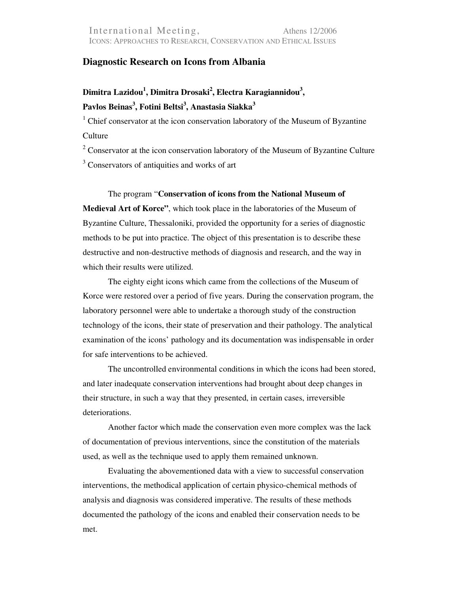## **Diagnostic Research on Icons from Albania**

## **Dimitra Lazidou<sup>1</sup> , Dimitra Drosaki<sup>2</sup> , Electra Karagiannidou<sup>3</sup> , Pavlos Beinas<sup>3</sup> , Fotini Beltsi<sup>3</sup> , Anastasia Siakka<sup>3</sup>**

<sup>1</sup> Chief conservator at the icon conservation laboratory of the Museum of Byzantine **Culture** 

 $2^2$  Conservator at the icon conservation laboratory of the Museum of Byzantine Culture <sup>3</sup> Conservators of antiquities and works of art

The program "**Conservation of icons from the National Museum of Medieval Art of Korce"**, which took place in the laboratories of the Museum of Byzantine Culture, Thessaloniki, provided the opportunity for a series of diagnostic methods to be put into practice. The object of this presentation is to describe these destructive and non-destructive methods of diagnosis and research, and the way in which their results were utilized.

The eighty eight icons which came from the collections of the Museum of Korce were restored over a period of five years. During the conservation program, the laboratory personnel were able to undertake a thorough study of the construction technology of the icons, their state of preservation and their pathology. The analytical examination of the icons' pathology and its documentation was indispensable in order for safe interventions to be achieved.

The uncontrolled environmental conditions in which the icons had been stored, and later inadequate conservation interventions had brought about deep changes in their structure, in such a way that they presented, in certain cases, irreversible deteriorations.

Another factor which made the conservation even more complex was the lack of documentation of previous interventions, since the constitution of the materials used, as well as the technique used to apply them remained unknown.

Evaluating the abovementioned data with a view to successful conservation interventions, the methodical application of certain physico-chemical methods of analysis and diagnosis was considered imperative. The results of these methods documented the pathology of the icons and enabled their conservation needs to be met.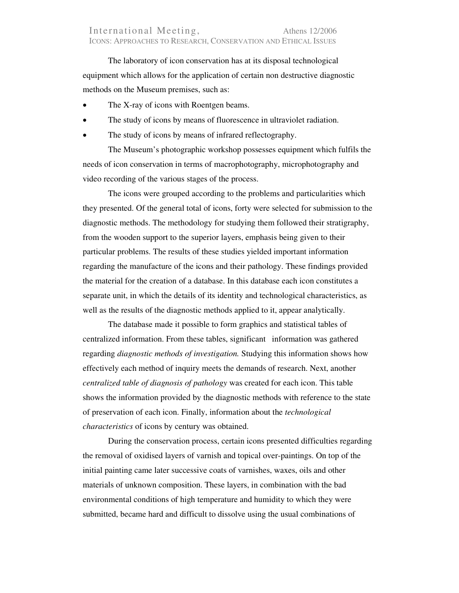The laboratory of icon conservation has at its disposal technological equipment which allows for the application of certain non destructive diagnostic methods on the Museum premises, such as:

- The X-ray of icons with Roentgen beams.
- The study of icons by means of fluorescence in ultraviolet radiation.
- The study of icons by means of infrared reflectography.

The Museum's photographic workshop possesses equipment which fulfils the needs of icon conservation in terms of macrophotography, microphotography and video recording of the various stages of the process.

The icons were grouped according to the problems and particularities which they presented. Of the general total of icons, forty were selected for submission to the diagnostic methods. The methodology for studying them followed their stratigraphy, from the wooden support to the superior layers, emphasis being given to their particular problems. The results of these studies yielded important information regarding the manufacture of the icons and their pathology. These findings provided the material for the creation of a database. In this database each icon constitutes a separate unit, in which the details of its identity and technological characteristics, as well as the results of the diagnostic methods applied to it, appear analytically.

The database made it possible to form graphics and statistical tables of centralized information. From these tables, significant information was gathered regarding *diagnostic methods of investigation.* Studying this information shows how effectively each method of inquiry meets the demands of research. Next, another *centralized table of diagnosis of pathology* was created for each icon. This table shows the information provided by the diagnostic methods with reference to the state of preservation of each icon. Finally, information about the *technological characteristics* of icons by century was obtained.

During the conservation process, certain icons presented difficulties regarding the removal of oxidised layers of varnish and topical over-paintings. On top of the initial painting came later successive coats of varnishes, waxes, oils and other materials of unknown composition. These layers, in combination with the bad environmental conditions of high temperature and humidity to which they were submitted, became hard and difficult to dissolve using the usual combinations of